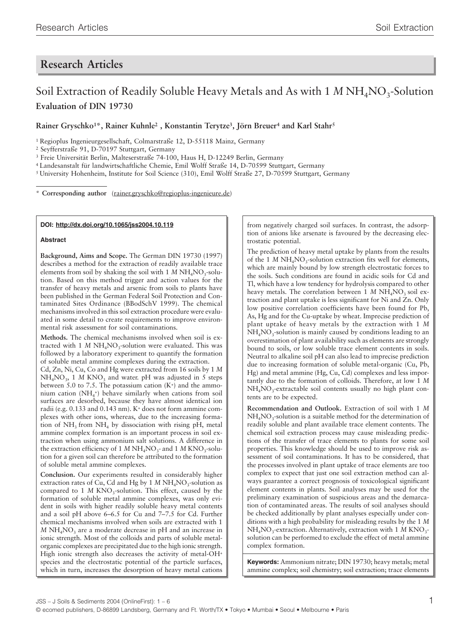## **Research Articles**

# Soil Extraction of Readily Soluble Heavy Metals and As with 1 *M* NH<sub>4</sub>NO<sub>3</sub>-Solution **Evaluation of DIN 19730**

**Rainer Gryschko1\*, Rainer Kuhnle2 , Konstantin Terytze3, Jörn Breuer4 and Karl Stahr5**

1 Regioplus Ingenieurgesellschaft, Colmarstraße 12, D-55118 Mainz, Germany

2 Seyfferstraße 91, D-70197 Stuttgart, Germany

3 Freie Universität Berlin, Malteserstraße 74-100, Haus H, D-12249 Berlin, Germany

4 Landesanstalt für landwirtschaftliche Chemie, Emil Wolff Straße 14, D-70599 Stuttgart, Germany

5 University Hohenheim, Institute for Soil Science (310), Emil Wolff Straße 27, D-70599 Stuttgart, Germany

\* **Corresponding author** (rainer.gryschko@regioplus-ingenieure.de)

#### **DOI: http://dx.doi.org/10.1065/jss2004.10.119**

#### **Abstract**

**Background, Aims and Scope.** The German DIN 19730 (1997) describes a method for the extraction of readily available trace elements from soil by shaking the soil with  $1 M N H<sub>4</sub> N O<sub>3</sub>$ -solution. Based on this method trigger and action values for the transfer of heavy metals and arsenic from soils to plants have been published in the German Federal Soil Protection and Contaminated Sites Ordinance (BBodSchV 1999). The chemical mechanisms involved in this soil extraction procedure were evaluated in some detail to create requirements to improve environmental risk assessment for soil contaminations.

**Methods.** The chemical mechanisms involved when soil is extracted with 1 *M* NH<sub>4</sub>NO<sub>3</sub>-solution were evaluated. This was followed by a laboratory experiment to quantify the formation of soluble metal ammine complexes during the extraction.

Cd, Zn, Ni, Cu, Co and Hg were extracted from 16 soils by 1 *M*  $NH<sub>4</sub>NO<sub>3</sub>$ , 1 *M* KNO<sub>3</sub> and water. pH was adjusted in 5 steps between 5.0 to 7.5. The potassium cation  $(K<sup>+</sup>)$  and the ammonium cation (NH4 +) behave similarly when cations from soil surfaces are desorbed, because they have almost identical ion radii (e.g. 0.133 and 0.143 nm). K+ does not form ammine complexes with other ions, whereas, due to the increasing formation of  $NH_3$  from  $NH_4$  by dissociation with rising pH, metal ammine complex formation is an important process in soil extraction when using ammonium salt solutions. A difference in the extraction efficiency of 1 *M* NH<sub>4</sub>NO<sub>3</sub>- and 1 *M* KNO<sub>3</sub>-solution for a given soil can therefore be attributed to the formation of soluble metal ammine complexes.

**Conclusion.** Our experiments resulted in considerably higher extraction rates of Cu, Cd and Hg by 1 *M* NH<sub>4</sub>NO<sub>3</sub>-solution as compared to 1  $M$  KNO<sub>3</sub>-solution. This effect, caused by the formation of soluble metal ammine complexes, was only evident in soils with higher readily soluble heavy metal contents and a soil pH above 6–6.5 for Cu and 7–7.5 for Cd. Further chemical mechanisms involved when soils are extracted with 1  $M$  NH<sub>4</sub>NO<sub>3</sub> are a moderate decrease in pH and an increase in ionic strength. Most of the colloids and parts of soluble metalorganic complexes are precipitated due to the high ionic strength. High ionic strength also decreases the activity of metal-OH<sup>+</sup> species and the electrostatic potential of the particle surfaces, which in turn, increases the desorption of heavy metal cations

from negatively charged soil surfaces. In contrast, the adsorption of anions like arsenate is favoured by the decreasing electrostatic potential.

The prediction of heavy metal uptake by plants from the results of the 1 *M* NH<sub>4</sub>NO<sub>3</sub>-solution extraction fits well for elements, which are mainly bound by low strength electrostatic forces to the soils. Such conditions are found in acidic soils for Cd and Tl, which have a low tendency for hydrolysis compared to other heavy metals. The correlation between 1 *M* NH<sub>4</sub>NO<sub>2</sub> soil extraction and plant uptake is less significant for Ni and Zn. Only low positive correlation coefficients have been found for Pb, As, Hg and for the Cu-uptake by wheat. Imprecise prediction of plant uptake of heavy metals by the extraction with 1 *M*  $NH<sub>4</sub>NO<sub>3</sub>$ -solution is mainly caused by conditions leading to an overestimation of plant availability such as elements are strongly bound to soils, or low soluble trace element contents in soils. Neutral to alkaline soil pH can also lead to imprecise prediction due to increasing formation of soluble metal-organic (Cu, Pb, Hg) and metal ammine (Hg, Cu, Cd) complexes and less importantly due to the formation of colloids. Therefore, at low 1 *M*  $NH<sub>4</sub>NO<sub>3</sub>$ -extractable soil contents usually no high plant contents are to be expected.

**Recommendation and Outlook.** Extraction of soil with 1 *M*  $NH<sub>4</sub>NO<sub>3</sub>$ -solution is a suitable method for the determination of readily soluble and plant available trace element contents. The chemical soil extraction process may cause misleading predictions of the transfer of trace elements to plants for some soil properties. This knowledge should be used to improve risk assessment of soil contaminations. It has to be considered, that the processes involved in plant uptake of trace elements are too complex to expect that just one soil extraction method can always guarantee a correct prognosis of toxicological significant element contents in plants. Soil analyses may be used for the preliminary examination of suspicious areas and the demarcation of contaminated areas. The results of soil analyses should be checked additionally by plant analyses especially under conditions with a high probability for misleading results by the 1 *M* NH<sub>4</sub>NO<sub>3</sub>-extraction. Alternatively, extraction with 1 *M* KNO<sub>3</sub>solution can be performed to exclude the effect of metal ammine complex formation.

**Keywords:** Ammonium nitrate; DIN 19730; heavy metals; metal ammine complex; soil chemistry; soil extraction; trace elements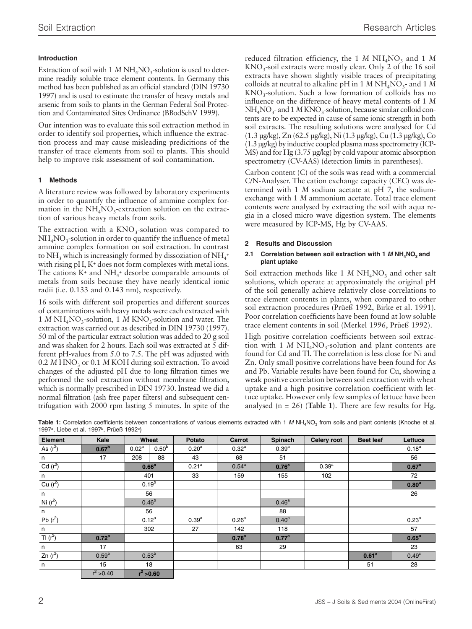## **Introduction**

Extraction of soil with 1  $M$  NH<sub>4</sub>NO<sub>3</sub>-solution is used to determine readily soluble trace element contents. In Germany this method has been published as an official standard (DIN 19730 1997) and is used to estimate the transfer of heavy metals and arsenic from soils to plants in the German Federal Soil Protection and Contaminated Sites Ordinance (BBodSchV 1999).

Our intention was to evaluate this soil extraction method in order to identify soil properties, which influence the extraction process and may cause misleading predicitions of the transfer of trace elements from soil to plants. This should help to improve risk assessment of soil contamination.

## **1 Methods**

A literature review was followed by laboratory experiments in order to quantify the influence of ammine complex formation in the  $NH<sub>4</sub>NO<sub>3</sub>$ -extraction solution on the extraction of various heavy metals from soils.

The extraction with a  $KNO<sub>3</sub>$ -solution was compared to  $NH<sub>4</sub>NO<sub>3</sub>$ -solution in order to quantify the influence of metal ammine complex formation on soil extraction. In contrast to NH<sub>3</sub> which is increasingly formed by dissoziation of NH<sub>4</sub>+ with rising pH, K<sup>+</sup> does not form complexes with metal ions. The cations  $K^+$  and  $NH_4^+$  desorbe comparable amounts of metals from soils because they have nearly identical ionic radii (i.e. 0.133 and 0.143 nm), respectively.

16 soils with different soil properties and different sources of contaminations with heavy metals were each extracted with 1 *M* NH<sub>4</sub>NO<sub>3</sub>-solution, 1 *M* KNO<sub>3</sub>-solution and water. The extraction was carried out as described in DIN 19730 (1997). 50 ml of the particular extract solution was added to 20 g soil and was shaken for 2 hours. Each soil was extracted at 5 different pH-values from 5.0 to 7.5. The pH was adjusted with 0.2 *M* HNO<sub>2</sub> or 0.1 *M* KOH during soil extraction. To avoid changes of the adjusted pH due to long filtration times we performed the soil extraction without membrane filtration, which is normally prescribed in DIN 19730. Instead we did a normal filtration (ash free paper filters) and subsequent centrifugation with 2000 rpm lasting 5 minutes. In spite of the

reduced filtration efficiency, the 1 *M* NH<sub>4</sub>NO<sub>3</sub> and 1 *M*  $KNO<sub>3</sub>$ -soil extracts were mostly clear. Only 2 of the 16 soil extracts have shown slightly visible traces of precipitating colloids at neutral to alkaline pH in  $1 M NH<sub>4</sub>NO<sub>3</sub>$ - and  $1 M$  $KNO<sub>3</sub>$ -solution. Such a low formation of colloids has no influence on the difference of heavy metal contents of 1 *M*  $NH<sub>4</sub>NO<sub>3</sub>$ - and 1 *M* KNO<sub>3</sub>-solution, because similar colloid contents are to be expected in cause of same ionic strength in both soil extracts. The resulting solutions were analysed for Cd (1.3 µg/kg), Zn (62.5 µg/kg), Ni (1.3 µg/kg), Cu (1.3 µg/kg), Co (1.3 µg/kg) by inductive coupled plasma mass spectrometry (ICP-MS) and for Hg (3.75 µg/kg) by cold vapour atomic absorption spectrometry (CV-AAS) (detection limits in parentheses).

Carbon content (C) of the soils was read with a commercial C/N-Analyser. The cation exchange capacity (CEC) was determined with 1 *M* sodium acetate at pH 7, the sodiumexchange with 1 *M* ammonium acetate. Total trace element contents were analysed by extracting the soil with aqua regia in a closed micro wave digestion system. The elements were measured by ICP-MS, Hg by CV-AAS.

## **2 Results and Discussion**

### 2.1 Correlation between soil extraction with 1  $M N H_4 N O_3$  and **plant uptake**

Soil extraction methods like 1 *M* NH<sub>4</sub>NO<sub>3</sub> and other salt solutions, which operate at approximately the original pH of the soil generally achieve relatively close correlations to trace element contents in plants, when compared to other soil extraction procedures (Prüeß 1992, Birke et al. 1991). Poor correlation coefficients have been found at low soluble trace element contents in soil (Merkel 1996, Prüeß 1992).

High positive correlation coefficients between soil extraction with 1 *M* NH<sub>4</sub>NO<sub>2</sub>-solution and plant contents are found for Cd and Tl. The correlation is less close for Ni and Zn. Only small positive correlations have been found for As and Pb. Variable results have been found for Cu, showing a weak positive correlation between soil extraction with wheat uptake and a high positive correlation coefficient with lettuce uptake. However only few samples of lettuce have been analysed  $(n = 26)$  (Table 1). There are few results for Hg.

| <b>Element</b> | Kale              | Wheat             |            | Potato            | Carrot            | Spinach           | <b>Celery root</b> | <b>Beet leaf</b>  | Lettuce           |
|----------------|-------------------|-------------------|------------|-------------------|-------------------|-------------------|--------------------|-------------------|-------------------|
| As $(r^2)$     | 0.67 <sup>b</sup> | 0.02 <sup>a</sup> | $0.50^{b}$ | 0.20 <sup>a</sup> | $0.32^{a}$        | $0.39^{a}$        |                    |                   | $0.18^{a}$        |
| n              | 17                | 208               | 88         | 43                | 68                | 51                |                    |                   | 56                |
| Cd $(r^2)$     |                   | 0.66 <sup>a</sup> |            | 0.21 <sup>a</sup> | $0.54^{a}$        | 0.76 <sup>a</sup> | 0.39 <sup>a</sup>  |                   | 0.67 <sup>a</sup> |
| n              |                   | 401               |            | 33                | 159               | 155               | 102                |                   | 72                |
| Cu $(r^2)$     |                   | $0.19^{b}$        |            |                   |                   |                   |                    |                   | 0.80 <sup>a</sup> |
| n              |                   | 56                |            |                   |                   |                   |                    |                   | 26                |
| Ni $(r^2)$     |                   | $0.46^{b}$        |            |                   |                   | 0.46 <sup>a</sup> |                    |                   |                   |
| n              |                   | 56                |            |                   |                   | 88                |                    |                   |                   |
| Pb $(r^2)$     |                   | $0.12^{a}$        |            | 0.39 <sup>a</sup> | 0.26 <sup>a</sup> | 0.40 <sup>a</sup> |                    |                   | 0.23 <sup>a</sup> |
| n              |                   |                   | 302        | 27                | 142               | 118               |                    |                   | 57                |
| $T1(r^2)$      | 0.72 <sup>a</sup> |                   |            |                   | 0.78 <sup>a</sup> | 0.77 <sup>a</sup> |                    |                   | 0.65 <sup>a</sup> |
| n              | 17                |                   |            |                   | 63                | 29                |                    |                   | 23                |
| Zn $(r^2)$     | $0.59^{b}$        | $0.53^{b}$        |            |                   |                   |                   |                    | 0.61 <sup>a</sup> | 0.49 <sup>c</sup> |
| n              | 15                |                   | 18         |                   |                   |                   |                    | 51                | 28                |
|                | $r^2 > 0.40$      | $r^2 > 0.60$      |            |                   |                   |                   |                    |                   |                   |

Table 1: Correlation coefficients between concentrations of various elements extracted with 1 M NH<sub>4</sub>NO<sub>3</sub> from soils and plant contents (Knoche et al. 1997<sup>a</sup>, Liebe et al. 1997<sup>b</sup>, Prüeß 1992<sup>c</sup>)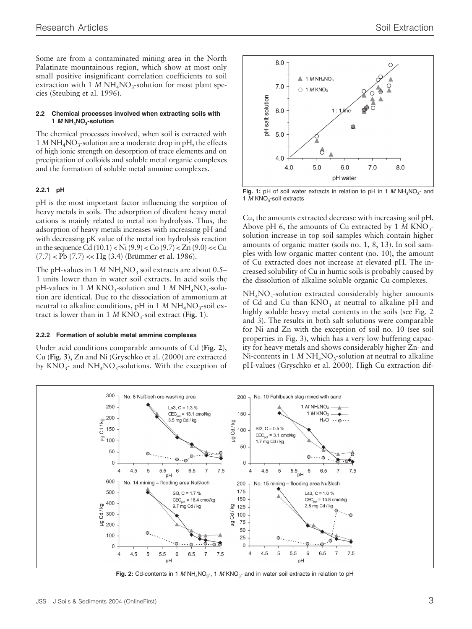Some are from a contaminated mining area in the North Palatinate mountainous region, which show at most only small positive insignificant correlation coefficients to soil extraction with 1 *M* NH<sub>4</sub>NO<sub>3</sub>-solution for most plant species (Steubing et al. 1996).

#### **2.2 Chemical processes involved when extracting soils with 1 M NH4NO3-solution**

The chemical processes involved, when soil is extracted with  $1 MNH<sub>4</sub>NO<sub>3</sub>$ -solution are a moderate drop in pH, the effects of high ionic strength on desorption of trace elements and on precipitation of colloids and soluble metal organic complexes and the formation of soluble metal ammine complexes.

#### **2.2.1 pH**

pH is the most important factor influencing the sorption of heavy metals in soils. The adsorption of divalent heavy metal cations is mainly related to metal ion hydrolysis. Thus, the adsorption of heavy metals increases with increasing pH and with decreasing pK value of the metal ion hydrolysis reaction in the sequence Cd  $(10.1) <$  Ni  $(9.9) <$  Co  $(9.7) <$  Zn  $(9.0) <$  Cu  $(7.7)$  < Pb  $(7.7)$  << Hg  $(3.4)$  (Brümmer et al. 1986).

The pH-values in  $1 M N H<sub>4</sub> N O<sub>3</sub>$  soil extracts are about 0.5– 1 units lower than in water soil extracts. In acid soils the pH-values in 1 *M* KNO<sub>3</sub>-solution and 1 *M* NH<sub>4</sub>NO<sub>3</sub>-solution are identical. Due to the dissociation of ammonium at neutral to alkaline conditions, pH in 1 *M* NH<sub>4</sub>NO<sub>2</sub>-soil extract is lower than in  $1 M KNO<sub>3</sub>$ -soil extract (Fig. 1).

#### **2.2.2 Formation of soluble metal ammine complexes**

Under acid conditions comparable amounts of Cd (**Fig. 2**), Cu (**Fig. 3**), Zn and Ni (Gryschko et al. (2000) are extracted by  $KNO_3$ - and  $NH_4NO_3$ -solutions. With the exception of



**Fig. 1:** pH of soil water extracts in relation to pH in 1  $M NH_4NO_3$ - and 1  $M$  KNO<sub>3</sub>-soil extracts

Cu, the amounts extracted decrease with increasing soil pH. Above pH 6, the amounts of Cu extracted by 1 *M* KNO<sub>3</sub>solution increase in top soil samples which contain higher amounts of organic matter (soils no. 1, 8, 13). In soil samples with low organic matter content (no. 10), the amount of Cu extracted does not increase at elevated pH. The increased solubility of Cu in humic soils is probably caused by the dissolution of alkaline soluble organic Cu complexes.

 $NH<sub>4</sub>NO<sub>3</sub>$ -solution extracted considerably higher amounts of Cd and Cu than  $KNO<sub>3</sub>$  at neutral to alkaline pH and highly soluble heavy metal contents in the soils (see Fig. 2) and 3). The results in both salt solutions were comparable for Ni and Zn with the exception of soil no. 10 (see soil properties in Fig. 3), which has a very low buffering capacity for heavy metals and shows considerably higher Zn- and Ni-contents in 1  $M$  NH<sub>4</sub>NO<sub>3</sub>-solution at neutral to alkaline pH-values (Gryschko et al. 2000). High Cu extraction dif-



**Fig. 2:** Cd-contents in 1 M NH<sub>4</sub>NO<sub>3</sub>-, 1 M KNO<sub>3</sub>- and in water soil extracts in relation to pH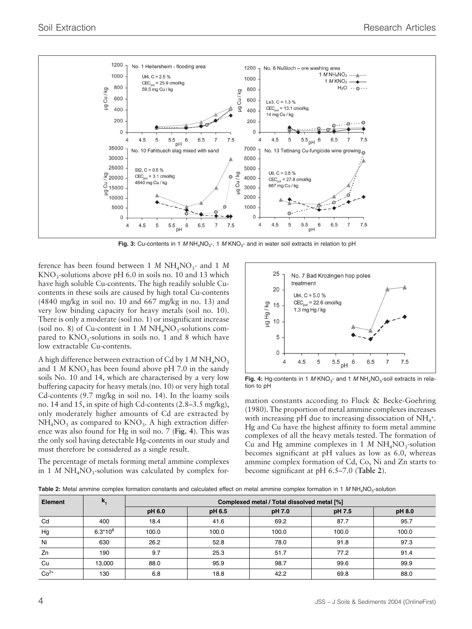

**Fig. 3:** Cu-contents in 1 M NH<sub>4</sub>NO<sub>3</sub>-, 1 M KNO<sub>3</sub>- and in water soil extracts in relation to pH

ference has been found between 1  $M$  NH<sub>4</sub>NO<sub>2</sub>- and 1  $M$  $KNO<sub>3</sub>$ -solutions above pH 6.0 in soils no. 10 and 13 which have high soluble Cu-contents. The high readily soluble Cucontents in these soils are caused by high total Cu-contents (4840 mg/kg in soil no. 10 and 667 mg/kg in no. 13) and very low binding capacity for heavy metals (soil no. 10). There is only a moderate (soil no. 1) or insignificant increase (soil no. 8) of Cu-content in 1  $M$  NH<sub>4</sub>NO<sub>3</sub>-solutions compared to  $KNO_3$ -solutions in soils no. 1 and 8 which have low extractable Cu-contents.

A high difference between extraction of Cd by 1 *M* NH<sub>4</sub>NO<sub>3</sub> and 1 *M* KNO<sub>2</sub> has been found above pH 7.0 in the sandy soils No. 10 and 14, which are characterised by a very low buffering capacity for heavy metals (no. 10) or very high total Cd-contents (9.7 mg/kg in soil no. 14). In the loamy soils no. 14 and 15, in spite of high Cd-contents (2.8–3.5 mg/kg), only moderately higher amounts of Cd are extracted by  $NH<sub>4</sub>NO<sub>3</sub>$  as compared to  $KNO<sub>3</sub>$ . A high extraction difference was also found for Hg in soil no. 7 (**Fig. 4**). This was the only soil having detectable Hg-contents in our study and must therefore be considered as a single result.

The percentage of metals forming metal ammine complexes in 1  $M$  NH<sub>4</sub>NO<sub>3</sub>-solution was calculated by complex for-



**Fig. 4:** Hg-contents in 1 M KNO<sub>3</sub>- and 1 M NH<sub>4</sub>NO<sub>3</sub>-soil extracts in relation to pH

mation constants according to Fluck & Becke-Goehring (1980). The proportion of metal ammine complexes increases with increasing pH due to increasing dissociation of NH<sub>4</sub><sup>+</sup>. Hg and Cu have the highest affinity to form metal ammine complexes of all the heavy metals tested. The formation of Cu and Hg ammine complexes in 1  $M$  NH<sub>4</sub>NO<sub>3</sub>-solution becomes significant at pH values as low as 6.0, whereas ammine complex formation of Cd, Co, Ni and Zn starts to become significant at pH 6.5–7.0 (**Table 2**).

|  |  |  |  |  |  |  |  |  |  |  | Table 2: Metal ammine complex formation constants and calculated effect on metal ammine complex formation in 1 M NH <sub>4</sub> NO <sub>3</sub> -solution |  |  |  |  |
|--|--|--|--|--|--|--|--|--|--|--|------------------------------------------------------------------------------------------------------------------------------------------------------------|--|--|--|--|
|--|--|--|--|--|--|--|--|--|--|--|------------------------------------------------------------------------------------------------------------------------------------------------------------|--|--|--|--|

| <b>Element</b> | $\mathbf{k}_{1}$ | Complexed metal / Total dissolved metal [%] |        |        |        |        |  |  |  |  |
|----------------|------------------|---------------------------------------------|--------|--------|--------|--------|--|--|--|--|
|                |                  | pH 6.0                                      | pH 6.5 | pH 7.0 | pH 7.5 | pH 8.0 |  |  |  |  |
| Cd             | 400              | 18.4                                        | 41.6   | 69.2   | 87.7   | 95.7   |  |  |  |  |
| Hg             | $6.3*10^{8}$     | 100.0                                       | 100.0  | 100.0  | 100.0  | 100.0  |  |  |  |  |
| Ni             | 630              | 26.2                                        | 52.8   | 78.0   | 91.8   | 97.3   |  |  |  |  |
| Zn             | 190              | 9.7                                         | 25.3   | 51.7   | 77.2   | 91.4   |  |  |  |  |
| Cu             | 13.000           | 88.0                                        | 95.9   | 98.7   | 99.6   | 99.9   |  |  |  |  |
| $Co2+$         | 130              | 6.8                                         | 18.8   | 42.2   | 69.8   | 88.0   |  |  |  |  |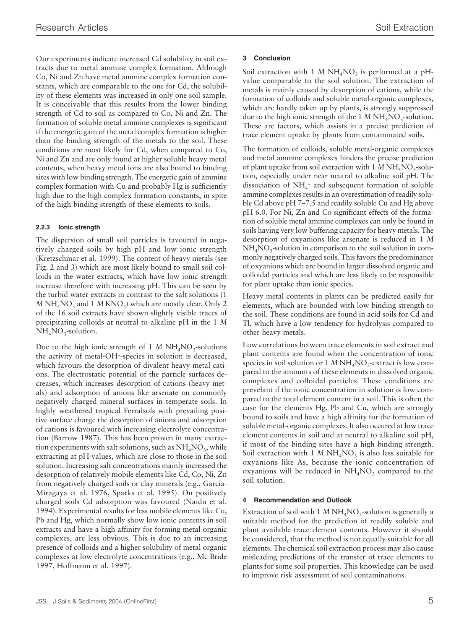Our experiments indicate increased Cd solubility in soil extracts due to metal ammine complex formation. Although Co, Ni and Zn have metal ammine complex formation constants, which are comparable to the one for Cd, the solubility of these elements was increased in only one soil sample. It is conceivable that this results from the lower binding strength of Cd to soil as compared to Co, Ni and Zn. The formation of soluble metal ammine complexes is significant if the energetic gain of the metal complex formation is higher than the binding strength of the metals to the soil. These conditions are most likely for Cd, when compared to Co, Ni and Zn and are only found at higher soluble heavy metal contents, when heavy metal ions are also bound to binding sites with low binding strength. The energetic gain of ammine complex formation with Cu and probably Hg is sufficiently high due to the high complex formation constants, in spite of the high binding strength of these elements to soils.

## **2.2.3 Ionic strength**

The dispersion of small soil particles is favoured in negatively charged soils by high pH and low ionic strength (Kretzschmar et al. 1999). The content of heavy metals (see Fig. 2 and 3) which are most likely bound to small soil colloids in the water extracts, which have low ionic strength increase therefore with increasing pH. This can be seen by the turbid water extracts in contrast to the salt solutions (1  $M$  NH<sub>4</sub>NO<sub>3</sub> and 1  $M$  KNO<sub>3</sub>) which are mostly clear. Only 2 of the 16 soil extracts have shown slightly visible traces of precipitating colloids at neutral to alkaline pH in the 1 *M*  $NH<sub>4</sub>NO<sub>3</sub>$ -solution.

Due to the high ionic strength of 1 *M*  $NH<sub>4</sub>NO<sub>3</sub>$ -solutions the activity of metal-OH+-species in solution is decreased, which favours the desorption of divalent heavy metal cations. The electrostatic potential of the particle surfaces decreases, which increases desorption of cations (heavy metals) and adsorption of anions like arsenate on commonly negatively charged mineral surfaces in temperate soils. In highly weathered tropical Ferralsols with prevailing positive surface charge the desorption of anions and adsorption of cations is favoured with increasing electrolyte concentration (Barrow 1987). This has been proven in many extraction experiments with salt solutions, such as  $NH<sub>4</sub>NO<sub>3</sub>$ , while extracting at pH-values, which are close to those in the soil solution. Increasing salt concentrations mainly increased the desorption of relatively mobile elements like Cd, Co, Ni, Zn from negatively charged soils or clay minerals (e.g., Garcia-Miragaya et al. 1976, Sparks et al. 1995). On positively charged soils Cd adsorption was favoured (Naidu et al. 1994). Experimental results for less mobile elements like Cu, Pb and Hg, which normally show low ionic contents in soil extracts and have a high affinity for forming metal organic complexes, are less obvious. This is due to an increasing presence of colloids and a higher solubility of metal organic complexes at low electrolyte concentrations (e.g., Mc Bride 1997, Hoffmann et al. 1997).

## **3 Conclusion**

Soil extraction with 1  $M$  NH<sub>4</sub>NO<sub>3</sub> is performed at a pHvalue comparable to the soil solution. The extraction of metals is mainly caused by desorption of cations, while the formation of colloids and soluble metal-organic complexes, which are hardly taken up by plants, is strongly suppressed due to the high ionic strength of the 1 *M* NH<sub>4</sub>NO<sub>2</sub>-solution. These are factors, which assists in a precise prediction of trace element uptake by plants from contaminated soils.

The formation of colloids, soluble metal-organic complexes and metal ammine complexes hinders the precise prediction of plant uptake from soil extraction with  $1 M N H<sub>4</sub> N O<sub>3</sub>$ -solution, especially under near neutral to alkaline soil pH. The dissociation of  $NH_4$ <sup>+</sup> and subsequent formation of soluble ammine complexes results in an overestimation of readily soluble Cd above pH 7–7.5 and readily soluble Cu and Hg above pH 6.0. For Ni, Zn and Co significant effects of the formation of soluble metal ammine complexes can only be found in soils having very low buffering capacity for heavy metals. The desorption of oxyanions like arsenate is reduced in 1 *M*  $NH<sub>4</sub>NO<sub>3</sub>$ -solution in comparison to the soil solution in commonly negatively charged soils. This favors the predominance of oxyanions which are bound in larger dissolved organic and colloidal particles and which are less likely to be responsible for plant uptake than ionic species.

Heavy metal contents in plants can be predicted easily for elements, which are bounded with low binding strength to the soil. These conditions are found in acid soils for Cd and Tl, which have a low tendency for hydrolysis compared to other heavy metals.

Low correlations between trace elements in soil extract and plant contents are found when the concentration of ionic species in soil solution or 1 *M* NH<sub>4</sub>NO<sub>2</sub>-extract is low compared to the amounts of these elements in dissolved organic complexes and colloidal particles. These conditions are prevelant if the ionic concentration in solution is low compared to the total element content in a soil. This is often the case for the elements Hg, Pb and Cu, which are strongly bound to soils and have a high affinity for the formation of soluble metal-organic complexes. It also occured at low trace element contents in soil and at neutral to alkaline soil pH, if most of the binding sites have a high binding strength. Soil extraction with 1  $M$  NH<sub>4</sub>NO<sub>3</sub> is also less suitable for oxyanions like As, because the ionic concentration of oxyanions will be reduced in  $NH<sub>4</sub>NO<sub>3</sub>$  compared to the soil solution.

## **4 Recommendation and Outlook**

Extraction of soil with 1  $M NH<sub>4</sub>NO<sub>3</sub>$ -solution is generally a suitable method for the prediction of readily soluble and plant available trace element contents. However it should be considered, that the method is not equally suitable for all elements. The chemical soil extraction process may also cause misleading predictions of the transfer of trace elements to plants for some soil properties. This knowledge can be used to improve risk assessment of soil contaminations.